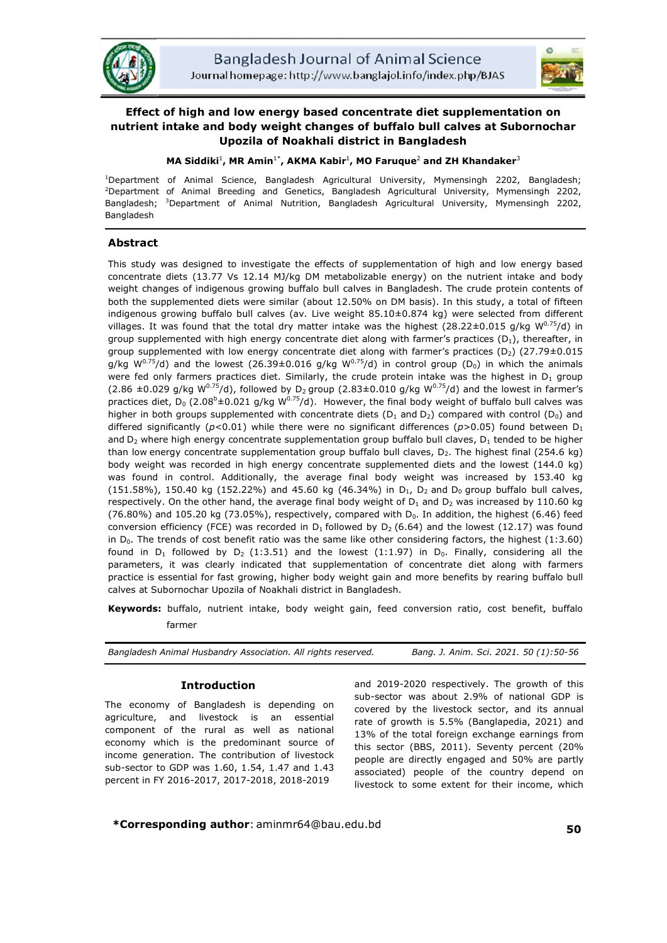



# **Effect of high and low energy based concentrate diet supplementation on nutrient intake and body weight changes of buffalo bull calves at Subornochar Upozila of Noakhali district in Bangladesh**

# **MA Siddiki**<sup>1</sup> **, MR Amin**1\* **, AKMA Kabir**<sup>1</sup> **, MO Faruque**<sup>2</sup> **and ZH Khandaker**<sup>3</sup>

1 Department of Animal Science, Bangladesh Agricultural University, Mymensingh 2202, Bangladesh; 2 Department of Animal Breeding and Genetics, Bangladesh Agricultural University, Mymensingh 2202, Bangladesh; <sup>3</sup>Department of Animal Nutrition, Bangladesh Agricultural University, Mymensingh 2202, Bangladesh

# **Abstract**

This study was designed to investigate the effects of supplementation of high and low energy based concentrate diets (13.77 Vs 12.14 MJ/kg DM metabolizable energy) on the nutrient intake and body weight changes of indigenous growing buffalo bull calves in Bangladesh. The crude protein contents of both the supplemented diets were similar (about 12.50% on DM basis). In this study, a total of fifteen indigenous growing buffalo bull calves (av. Live weight 85.10±0.874 kg) were selected from different villages. It was found that the total dry matter intake was the highest (28.22 $\pm$ 0.015 g/kg W<sup>0.75</sup>/d) in group supplemented with high energy concentrate diet along with farmer's practices  $(D_1)$ , thereafter, in group supplemented with low energy concentrate diet along with farmer's practices ( $D_2$ ) (27.79±0.015 g/kg  $W^{0.75}/d$ ) and the lowest (26.39±0.016 g/kg  $W^{0.75}/d$ ) in control group (D<sub>0</sub>) in which the animals were fed only farmers practices diet. Similarly, the crude protein intake was the highest in  $D_1$  group (2.86  $\pm$ 0.029 g/kg W<sup>0.75</sup>/d), followed by D<sub>2</sub> group (2.83 $\pm$ 0.010 g/kg W<sup>0.75</sup>/d) and the lowest in farmer's practices diet,  $D_0$  (2.08<sup>b</sup>±0.021 g/kg W<sup>0.75</sup>/d). However, the final body weight of buffalo bull calves was higher in both groups supplemented with concentrate diets ( $D_1$  and  $D_2$ ) compared with control ( $D_0$ ) and differed significantly ( $p$ <0.01) while there were no significant differences ( $p$ >0.05) found between D<sub>1</sub> and  $D_2$  where high energy concentrate supplementation group buffalo bull claves,  $D_1$  tended to be higher than low energy concentrate supplementation group buffalo bull claves,  $D_2$ . The highest final (254.6 kg) body weight was recorded in high energy concentrate supplemented diets and the lowest (144.0 kg) was found in control. Additionally, the average final body weight was increased by 153.40 kg  $(151.58%)$ , 150.40 kg  $(152.22%)$  and 45.60 kg  $(46.34%)$  in D<sub>1</sub>, D<sub>2</sub> and D<sub>0</sub> group buffalo bull calves, respectively. On the other hand, the average final body weight of  $D_1$  and  $D_2$  was increased by 110.60 kg  $(76.80\%)$  and 105.20 kg  $(73.05\%)$ , respectively, compared with  $D_0$ . In addition, the highest (6.46) feed conversion efficiency (FCE) was recorded in  $D_1$  followed by  $D_2$  (6.64) and the lowest (12.17) was found in  $D_0$ . The trends of cost benefit ratio was the same like other considering factors, the highest (1:3.60) found in  $D_1$  followed by  $D_2$  (1:3.51) and the lowest (1:1.97) in  $D_0$ . Finally, considering all the parameters, it was clearly indicated that supplementation of concentrate diet along with farmers practice is essential for fast growing, higher body weight gain and more benefits by rearing buffalo bull calves at Subornochar Upozila of Noakhali district in Bangladesh.

**Keywords:** buffalo, nutrient intake, body weight gain, feed conversion ratio, cost benefit, buffalo farmer

| Bangladesh Animal Husbandry Association. All rights reserved. | Bang. J. Anim. Sci. 2021. 50 (1):50-56 |
|---------------------------------------------------------------|----------------------------------------|
|                                                               |                                        |

# **Introduction**

The economy of Bangladesh is depending on agriculture, and livestock is an essential component of the rural as well as national economy which is the predominant source of income generation. The contribution of livestock sub-sector to GDP was 1.60, 1.54, 1.47 and 1.43 percent in FY 2016-2017, 2017-2018, 2018-2019

and 2019-2020 respectively. The growth of this sub-sector was about 2.9% of national GDP is covered by the livestock sector, and its annual rate of growth is 5.5% (Banglapedia, 2021) and 13% of the total foreign exchange earnings from this sector (BBS, 2011). Seventy percent (20% people are directly engaged and 50% are partly associated) people of the country depend on livestock to some extent for their income, which

**\*Corresponding author**: aminmr64@bau.edu.bd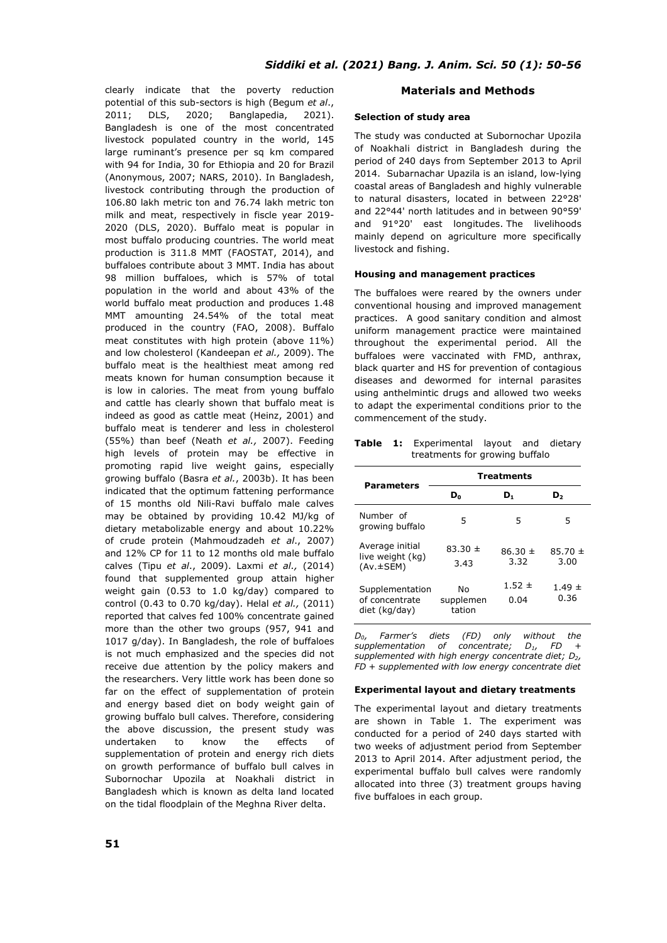clearly indicate that the poverty reduction potential of this sub-sectors is high (Begum *et al*., 2011; DLS, 2020; Banglapedia, 2021). Bangladesh is one of the most concentrated livestock populated country in the world, 145 large ruminant's presence per sq km compared with 94 for India, 30 for Ethiopia and 20 for Brazil (Anonymous, 2007; NARS, 2010). In Bangladesh, livestock contributing through the production of 106.80 lakh metric ton and 76.74 lakh metric ton milk and meat, respectively in fiscle year 2019- 2020 (DLS, 2020). Buffalo meat is popular in most buffalo producing countries. The world meat production is 311.8 MMT (FAOSTAT, 2014), and buffaloes contribute about 3 MMT. India has about 98 million buffaloes, which is 57% of total population in the world and about 43% of the world buffalo meat production and produces 1.48 MMT amounting 24.54% of the total meat produced in the country (FAO, 2008). Buffalo meat constitutes with high protein (above 11%) and low cholesterol (Kandeepan *et al.,* 2009). The buffalo meat is the healthiest meat among red meats known for human consumption because it is low in calories. The meat from young buffalo and cattle has clearly shown that buffalo meat is indeed as good as cattle meat (Heinz, 2001) and buffalo meat is tenderer and less in cholesterol (55%) than beef (Neath *et al.,* 2007). Feeding high levels of protein may be effective in promoting rapid live weight gains, especially growing buffalo (Basra *et al.*, 2003b). It has been indicated that the optimum fattening performance of 15 months old Nili-Ravi buffalo male calves may be obtained by providing 10.42 MJ/kg of dietary metabolizable energy and about 10.22% of crude protein (Mahmoudzadeh *et al*., 2007) and 12% CP for 11 to 12 months old male buffalo calves (Tipu *et al*., 2009). Laxmi *et al.,* (2014) found that supplemented group attain higher weight gain (0.53 to 1.0 kg/day) compared to control (0.43 to 0.70 kg/day). Helal *et al.,* (2011) reported that calves fed 100% concentrate gained more than the other two groups (957, 941 and 1017 g/day). In Bangladesh, the role of buffaloes is not much emphasized and the species did not receive due attention by the policy makers and the researchers. Very little work has been done so far on the effect of supplementation of protein and energy based diet on body weight gain of growing buffalo bull calves. Therefore, considering the above discussion, the present study was undertaken to know the effects of supplementation of protein and energy rich diets on growth performance of buffalo bull calves in Subornochar Upozila at Noakhali district in Bangladesh which is known as delta land located on the tidal floodplain of the Meghna River delta.

# **Materials and Methods**

### **Selection of study area**

The study was conducted at Subornochar Upozila of Noakhali district in Bangladesh during the period of 240 days from September 2013 to April 2014. Subarnachar Upazila is an island, low-lying coastal areas of Bangladesh and highly vulnerable to natural disasters, located in between 22°28' and 22°44' north latitudes and in between 90°59' and 91°20' east longitudes. The livelihoods mainly depend on agriculture more specifically livestock and fishing.

### **Housing and management practices**

The buffaloes were reared by the owners under conventional housing and improved management practices. A good sanitary condition and almost uniform management practice were maintained throughout the experimental period. All the buffaloes were vaccinated with FMD, anthrax, black quarter and HS for prevention of contagious diseases and dewormed for internal parasites using anthelmintic drugs and allowed two weeks to adapt the experimental conditions prior to the commencement of the study.

**Table 1:** Experimental layout and dietary treatments for growing buffalo

| <b>Parameters</b>                                      | <b>Treatments</b>         |                     |                     |  |  |  |
|--------------------------------------------------------|---------------------------|---------------------|---------------------|--|--|--|
|                                                        | D0                        | D,                  | D,                  |  |  |  |
| Number of<br>growing buffalo                           | 5                         | 5                   | 5                   |  |  |  |
| Average initial<br>live weight (kg)<br>$(Av. \pm SEM)$ | $83.30 \pm$<br>3.43       | $86.30 \pm$<br>3.32 | $85.70 \pm$<br>3.00 |  |  |  |
| Supplementation<br>of concentrate<br>diet (kg/day)     | No<br>supplemen<br>tation | $1.52 \pm$<br>0.04  | $1.49 \pm$<br>0.36  |  |  |  |

*D0, Farmer's diets (FD) only without the supplementation of concentrate; D<sub>1</sub>, FD supplemented with high energy concentrate diet; D2, FD + supplemented with low energy concentrate diet*

#### **Experimental layout and dietary treatments**

The experimental layout and dietary treatments are shown in Table 1. The experiment was conducted for a period of 240 days started with two weeks of adjustment period from September 2013 to April 2014. After adjustment period, the experimental buffalo bull calves were randomly allocated into three (3) treatment groups having five buffaloes in each group.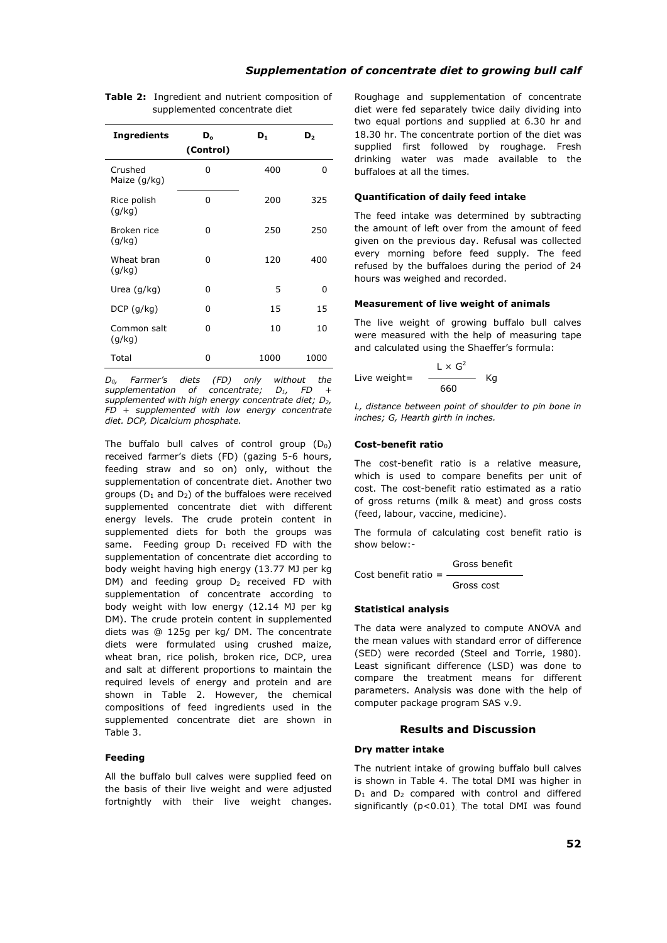# *Supplementation of concentrate diet to growing bull calf*

| <b>Ingredients</b>      | D。<br>(Control) | $\mathbf{D}_1$ | D,   |
|-------------------------|-----------------|----------------|------|
| Crushed<br>Maize (g/kg) | 0               | 400            | 0    |
| Rice polish<br>(q/kg)   | 0               | 200            | 325  |
| Broken rice<br>(q/kg)   | 0               | 250            | 250  |
| Wheat bran<br>(q/kg)    | 0               | 120            | 400  |
| Urea (g/kg)             | 0               | 5              | 0    |
| $DCP$ (g/kg)            | U               | 15             | 15   |
| Common salt<br>(g/kg)   | U               | 10             | 10   |
| Total                   | 0               | 1000           | 1000 |

**Table 2:** Ingredient and nutrient composition of supplemented concentrate diet

*D0, Farmer's diets (FD) only without the*  supplementation of concentrate; *supplemented with high energy concentrate diet; D2, FD + supplemented with low energy concentrate diet. DCP, Dicalcium phosphate.*

The buffalo bull calves of control group  $(D_0)$ received farmer's diets (FD) (gazing 5-6 hours, feeding straw and so on) only, without the supplementation of concentrate diet. Another two groups ( $D_1$  and  $D_2$ ) of the buffaloes were received supplemented concentrate diet with different energy levels. The crude protein content in supplemented diets for both the groups was same. Feeding group  $D_1$  received FD with the supplementation of concentrate diet according to body weight having high energy (13.77 MJ per kg DM) and feeding group  $D_2$  received FD with supplementation of concentrate according to body weight with low energy (12.14 MJ per kg DM). The crude protein content in supplemented diets was @ 125g per kg/ DM. The concentrate diets were formulated using crushed maize, wheat bran, rice polish, broken rice, DCP, urea and salt at different proportions to maintain the required levels of energy and protein and are shown in Table 2. However, the chemical compositions of feed ingredients used in the supplemented concentrate diet are shown in Table 3.

### **Feeding**

All the buffalo bull calves were supplied feed on the basis of their live weight and were adjusted fortnightly with their live weight changes.

Roughage and supplementation of concentrate diet were fed separately twice daily dividing into two equal portions and supplied at 6.30 hr and 18.30 hr. The concentrate portion of the diet was supplied first followed by roughage. Fresh drinking water was made available to the buffaloes at all the times.

#### **Quantification of daily feed intake**

The feed intake was determined by subtracting the amount of left over from the amount of feed given on the previous day. Refusal was collected every morning before feed supply. The feed refused by the buffaloes during the period of 24 hours was weighed and recorded.

#### **Measurement of live weight of animals**

The live weight of growing buffalo bull calves were measured with the help of measuring tape and calculated using the Shaeffer's formula:

Live weight =

\n
$$
\frac{L \times G^2}{660} \quad \text{Kg}
$$

*L, distance between point of shoulder to pin bone in inches; G, Hearth girth in inches.*

#### **Cost-benefit ratio**

The cost-benefit ratio is a relative measure, which is used to compare benefits per unit of cost. The cost-benefit ratio estimated as a ratio of gross returns (milk & meat) and gross costs (feed, labour, vaccine, medicine).

The formula of calculating cost benefit ratio is show below:-

$$
Gross benefitCost benefit ratio = ____________
$$

Gross cost

#### **Statistical analysis**

The data were analyzed to compute ANOVA and the mean values with standard error of difference (SED) were recorded (Steel and Torrie, 1980). Least significant difference (LSD) was done to compare the treatment means for different parameters. Analysis was done with the help of computer package program SAS v.9.

## **Results and Discussion**

#### **Dry matter intake**

The nutrient intake of growing buffalo bull calves is shown in Table 4. The total DMI was higher in  $D_1$  and  $D_2$  compared with control and differed significantly (p<0.01). The total DMI was found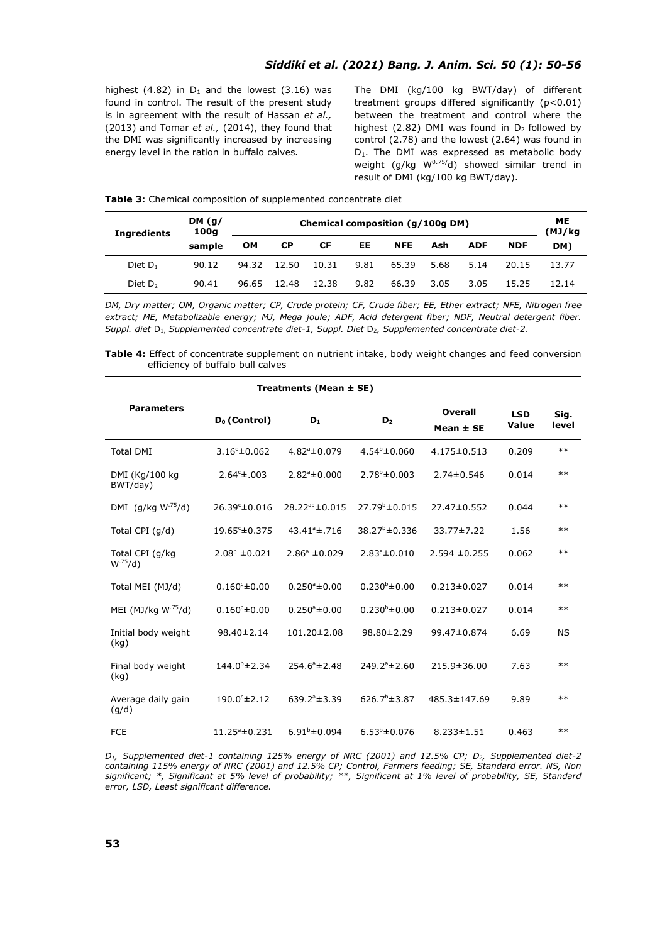highest (4.82) in  $D_1$  and the lowest (3.16) was found in control. The result of the present study is in agreement with the result of Hassan *et al.,* (2013) and Tomar *et al.,* (2014), they found that the DMI was significantly increased by increasing energy level in the ration in buffalo calves.

The DMI (kg/100 kg BWT/day) of different treatment groups differed significantly (p<0.01) between the treatment and control where the highest (2.82) DMI was found in  $D_2$  followed by control (2.78) and the lowest (2.64) was found in D<sub>1</sub>. The DMI was expressed as metabolic body weight (g/kg  $W^{0.75/d}$ ) showed similar trend in result of DMI (kg/100 kg BWT/day).

| <b>Ingredients</b> | DM(q)<br>100q | Chemical composition (g/100g DM) |           |       |      |            |      | ME<br>(MJ/kg |            |       |
|--------------------|---------------|----------------------------------|-----------|-------|------|------------|------|--------------|------------|-------|
|                    | sample        | <b>OM</b>                        | <b>CP</b> | СF    | EE.  | <b>NFE</b> | Ash  | <b>ADF</b>   | <b>NDF</b> | DM)   |
| Diet $D_1$         | 90.12         | 94.32                            | 12.50     | 10.31 | 9.81 | 65.39      | 5.68 | 5.14         | 20.15      | 13.77 |
| Diet $D2$          | 90.41         | 96.65                            | 12.48     | 12.38 | 9.82 | 66.39      | 3.05 | 3.05         | 15.25      | 12.14 |

*DM, Dry matter; OM, Organic matter; CP, Crude protein; CF, Crude fiber; EE, Ether extract; NFE, Nitrogen free extract; ME, Metabolizable energy; MJ, Mega joule; ADF, Acid detergent fiber; NDF, Neutral detergent fiber. Suppl.* diet D<sub>1</sub>, *Supplemented concentrate diet-1*, *Suppl. Diet D<sub>2</sub>, Supplemented concentrate diet-2.* 

**Table 4:** Effect of concentrate supplement on nutrient intake, body weight changes and feed conversion efficiency of buffalo bull calves

|                                  |                           | Treatments (Mean ± SE)   |                           |                      |                     |               |
|----------------------------------|---------------------------|--------------------------|---------------------------|----------------------|---------------------|---------------|
| <b>Parameters</b>                | D <sub>0</sub> (Control)  | $D_1$                    | D <sub>2</sub>            | Overall<br>Mean ± SE | <b>LSD</b><br>Value | Sig.<br>level |
| <b>Total DMI</b>                 | $3.16^{\circ} \pm 0.062$  | $4.82^{\circ} \pm 0.079$ | $4.54^b \pm 0.060$        | $4.175 \pm 0.513$    | 0.209               | $**$          |
| DMI (Kg/100 kg<br>BWT/day)       | $2.64^{\circ} \pm .003$   | $2.82^{\circ} \pm 0.000$ | $2.78^b \pm 0.003$        | $2.74 \pm 0.546$     | 0.014               | $***$         |
| DMI (g/kg $W^{.75}/d$ )          | 26.39°±0.016              | $28.22^{ab} \pm 0.015$   | $27.79^{\circ} \pm 0.015$ | $27.47 \pm 0.552$    | 0.044               | $***$         |
| Total CPI (g/d)                  | $19.65^{\circ} \pm 0.375$ | $43.41^{\circ}$ ±.716    | $38.27^{\circ} \pm 0.336$ | 33.77±7.22           | 1.56                | $**$          |
| Total CPI (g/kg<br>$W^{.75}/d$ ) | $2.08^b \pm 0.021$        | $2.86^{\circ} \pm 0.029$ | $2.83^{\circ} \pm 0.010$  | $2.594 \pm 0.255$    | 0.062               | $**$          |
| Total MEI (MJ/d)                 | $0.160^{\circ} \pm 0.00$  | $0.250^{\circ}$ ±0.00    | $0.230^{b} \pm 0.00$      | $0.213 \pm 0.027$    | 0.014               | $***$         |
| MEI (MJ/kg $W^{.75}/d$ )         | $0.160^{\circ} \pm 0.00$  | $0.250^{\circ}$ ±0.00    | $0.230^{b} \pm 0.00$      | $0.213 \pm 0.027$    | 0.014               | $***$         |
| Initial body weight<br>(kg)      | 98.40±2.14                | 101.20±2.08              | 98.80±2.29                | 99.47±0.874          | 6.69                | <b>NS</b>     |
| Final body weight<br>(kg)        | $144.0^{\circ}$ ± 2.34    | $254.6^{\circ}$ ± 2.48   | $249.2^{\circ} \pm 2.60$  | $215.9 \pm 36.00$    | 7.63                | $***$         |
| Average daily gain<br>(q/d)      | $190.0° \pm 2.12$         | $639.2^{\circ} \pm 3.39$ | $626.7^b \pm 3.87$        | 485.3±147.69         | 9.89                | $***$         |
| <b>FCE</b>                       | $11.25^{\circ} \pm 0.231$ | $6.91^b \pm 0.094$       | $6.53^b \pm 0.076$        | $8.233 \pm 1.51$     | 0.463               | $**$          |

*D1, Supplemented diet-1 containing 125% energy of NRC (2001) and 12.5% CP; D2, Supplemented diet-2 containing 115% energy of NRC (2001) and 12.5% CP; Control, Farmers feeding; SE, Standard error. NS, Non significant; \*, Significant at 5% level of probability; \*\*, Significant at 1% level of probability, SE, Standard error, LSD, Least significant difference.*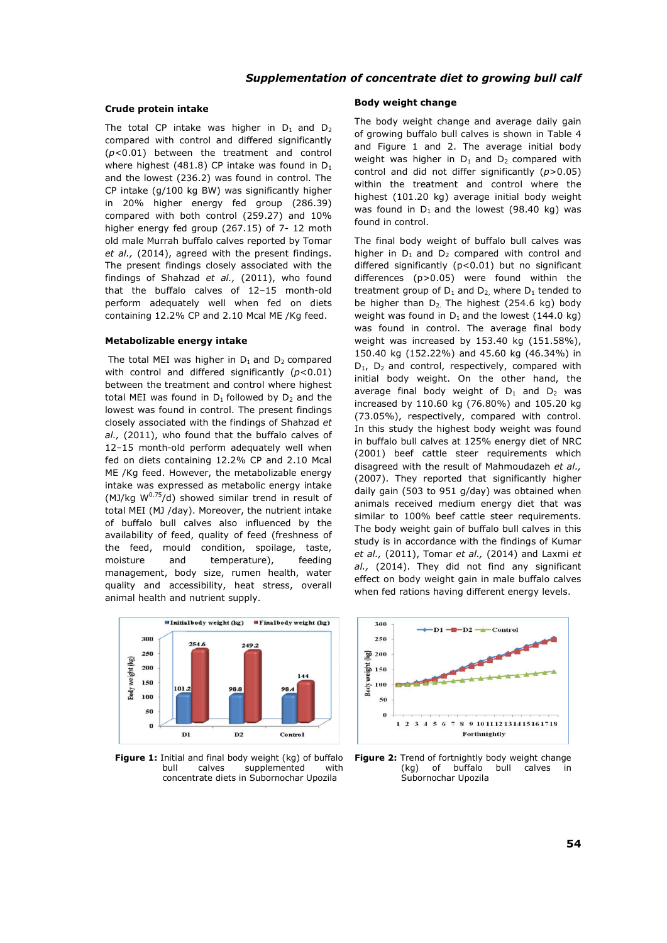# *Supplementation of concentrate diet to growing bull calf*

#### **Crude protein intake**

The total CP intake was higher in  $D_1$  and  $D_2$ compared with control and differed significantly (*p*<0.01) between the treatment and control where highest (481.8) CP intake was found in  $D_1$ and the lowest (236.2) was found in control. The CP intake (g/100 kg BW) was significantly higher in 20% higher energy fed group (286.39) compared with both control (259.27) and 10% higher energy fed group (267.15) of 7- 12 moth old male Murrah buffalo calves reported by Tomar *et al.,* (2014), agreed with the present findings. The present findings closely associated with the findings of Shahzad *et al.,* (2011), who found that the buffalo calves of 12–15 month-old perform adequately well when fed on diets containing 12.2% CP and 2.10 Mcal ME /Kg feed.

#### **Metabolizable energy intake**

The total MEI was higher in  $D_1$  and  $D_2$  compared with control and differed significantly (*p*<0.01) between the treatment and control where highest total MEI was found in  $D_1$  followed by  $D_2$  and the lowest was found in control. The present findings closely associated with the findings of Shahzad *et al.,* (2011), who found that the buffalo calves of 12–15 month-old perform adequately well when fed on diets containing 12.2% CP and 2.10 Mcal ME /Kg feed. However, the metabolizable energy intake was expressed as metabolic energy intake (MJ/kg  $W^{0.75}/d$ ) showed similar trend in result of total MEI (MJ /day). Moreover, the nutrient intake of buffalo bull calves also influenced by the availability of feed, quality of feed (freshness of the feed, mould condition, spoilage, taste, moisture and temperature), feeding management, body size, rumen health, water quality and accessibility, heat stress, overall animal health and nutrient supply.



**Figure 1:** Initial and final body weight (kg) of buffalo bull calves supplemented with concentrate diets in Subornochar Upozila

#### **Body weight change**

The body weight change and average daily gain of growing buffalo bull calves is shown in Table 4 and Figure 1 and 2. The average initial body weight was higher in  $D_1$  and  $D_2$  compared with control and did not differ significantly (*p*>0.05) within the treatment and control where the highest (101.20 kg) average initial body weight was found in  $D_1$  and the lowest (98.40 kg) was found in control.

The final body weight of buffalo bull calves was higher in  $D_1$  and  $D_2$  compared with control and differed significantly (p<0.01) but no significant differences (p>0.05) were found within the treatment group of  $D_1$  and  $D_2$ , where  $D_1$  tended to be higher than  $D_2$ . The highest (254.6 kg) body weight was found in  $D_1$  and the lowest (144.0 kg) was found in control. The average final body weight was increased by 153.40 kg (151.58%), 150.40 kg (152.22%) and 45.60 kg (46.34%) in  $D_1$ ,  $D_2$  and control, respectively, compared with initial body weight. On the other hand, the average final body weight of  $D_1$  and  $D_2$  was increased by 110.60 kg (76.80%) and 105.20 kg (73.05%), respectively, compared with control. In this study the highest body weight was found in buffalo bull calves at 125% energy diet of NRC (2001) beef cattle steer requirements which disagreed with the result of Mahmoudazeh *et al.,* (2007). They reported that significantly higher daily gain (503 to 951 g/day) was obtained when animals received medium energy diet that was similar to 100% beef cattle steer requirements. The body weight gain of buffalo bull calves in this study is in accordance with the findings of Kumar *et al.,* (2011), Tomar *et al.,* (2014) and Laxmi *et al.,* (2014). They did not find any significant effect on body weight gain in male buffalo calves when fed rations having different energy levels.



**Figure 2:** Trend of fortnightly body weight change<br>(kg) of buffalo bull calves in  $(kq)$  of buffalo bull Subornochar Upozila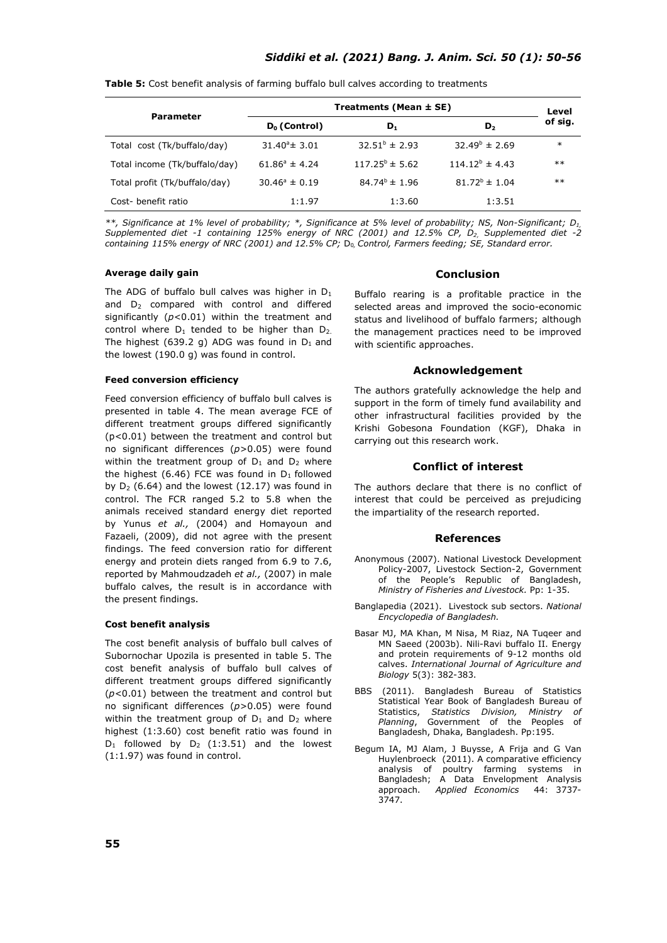|                               | Treatments (Mean $\pm$ SE) |                           |                          |         |  |  |
|-------------------------------|----------------------------|---------------------------|--------------------------|---------|--|--|
| <b>Parameter</b>              | $D_0$ (Control)            | $D_1$                     | D <sub>2</sub>           | of sig. |  |  |
| Total cost (Tk/buffalo/day)   | $31.40^{\circ}$ ± 3.01     | $32.51^{\circ} \pm 2.93$  | $32.49^{\circ} \pm 2.69$ | $\ast$  |  |  |
| Total income (Tk/buffalo/day) | $61.86^{\circ} \pm 4.24$   | $117.25^{\circ} \pm 5.62$ | $114.12^b \pm 4.43$      | $***$   |  |  |
| Total profit (Tk/buffalo/day) | $30.46^{\circ} \pm 0.19$   | $84.74^{b} \pm 1.96$      | $81.72^{\circ} \pm 1.04$ | $***$   |  |  |
| Cost- benefit ratio           | 1:1.97                     | 1:3.60                    | 1:3.51                   |         |  |  |

**Table 5:** Cost benefit analysis of farming buffalo bull calves according to treatments

*\*\*, Significance at 1% level of probability; \*, Significance at 5% level of probability; NS, Non-Significant; D1, Supplemented diet -1 containing 125% energy of NRC (2001) and 12.5% CP, D2, Supplemented diet -2 containing 115% energy of NRC (2001) and 12.5% CP;* D0*, Control, Farmers feeding; SE, Standard error.*

#### **Average daily gain**

The ADG of buffalo bull calves was higher in  $D_1$ and D<sub>2</sub> compared with control and differed significantly (*p*<0.01) within the treatment and control where  $D_1$  tended to be higher than  $D_2$ . The highest (639.2 g) ADG was found in  $D_1$  and the lowest (190.0 g) was found in control.

#### **Feed conversion efficiency**

Feed conversion efficiency of buffalo bull calves is presented in table 4. The mean average FCE of different treatment groups differed significantly (p<0.01) between the treatment and control but no significant differences (*p*>0.05) were found within the treatment group of  $D_1$  and  $D_2$  where the highest (6.46) FCE was found in  $D_1$  followed by  $D_2$  (6.64) and the lowest (12.17) was found in control. The FCR ranged 5.2 to 5.8 when the animals received standard energy diet reported by Yunus *et al.,* (2004) and Homayoun and Fazaeli, (2009), did not agree with the present findings. The feed conversion ratio for different energy and protein diets ranged from 6.9 to 7.6, reported by Mahmoudzadeh *et al.,* (2007) in male buffalo calves, the result is in accordance with the present findings.

#### **Cost benefit analysis**

The cost benefit analysis of buffalo bull calves of Subornochar Upozila is presented in table 5. The cost benefit analysis of buffalo bull calves of different treatment groups differed significantly (*p*<0.01) between the treatment and control but no significant differences (*p*>0.05) were found within the treatment group of  $D_1$  and  $D_2$  where highest (1:3.60) cost benefit ratio was found in  $D_1$  followed by  $D_2$  (1:3.51) and the lowest (1:1.97) was found in control.

### **Conclusion**

Buffalo rearing is a profitable practice in the selected areas and improved the socio-economic status and livelihood of buffalo farmers; although the management practices need to be improved with scientific approaches.

#### **Acknowledgement**

The authors gratefully acknowledge the help and support in the form of timely fund availability and other infrastructural facilities provided by the Krishi Gobesona Foundation (KGF), Dhaka in carrying out this research work.

#### **Conflict of interest**

The authors declare that there is no conflict of interest that could be perceived as prejudicing the impartiality of the research reported.

## **References**

- Anonymous (2007). National Livestock Development Policy-2007, Livestock Section-2, Government of the People's Republic of Bangladesh, *Ministry of Fisheries and Livestock.* Pp: 1-35.
- Banglapedia (2021). Livestock sub sectors. *National Encyclopedia of Bangladesh.*
- Basar MJ, MA Khan, M Nisa, M Riaz, NA Tuqeer and MN Saeed (2003b). Nili-Ravi buffalo II. Energy and protein requirements of 9-12 months old calves. *International Journal of Agriculture and Biology* 5(3): 382-383.
- BBS (2011). Bangladesh Bureau of Statistics Statistical Year Book of Bangladesh Bureau of<br>Statistics, Statistics Division, Ministry of Statistics, *Statistics Division, Ministry of Planning*, Government of the Peoples of Bangladesh, Dhaka, Bangladesh. Pp:195.
- Begum IA, MJ Alam, J Buysse, A Frija and G Van Huylenbroeck (2011). A comparative efficiency analysis of poultry farming systems in Bangladesh; A Data Envelopment Analysis approach. *Applied Economics* 44: 3737- 3747.